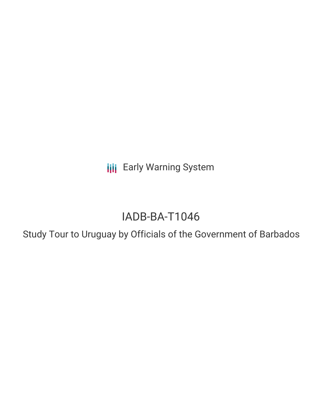**III** Early Warning System

# IADB-BA-T1046

Study Tour to Uruguay by Officials of the Government of Barbados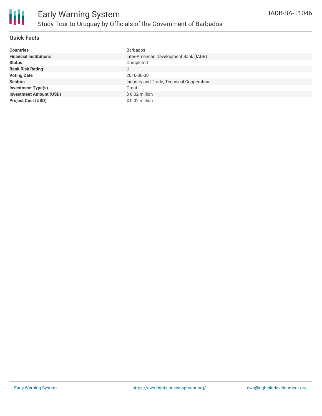

### **Quick Facts**

| <b>Countries</b>               | <b>Barbados</b>                           |
|--------------------------------|-------------------------------------------|
| <b>Financial Institutions</b>  | Inter-American Development Bank (IADB)    |
| <b>Status</b>                  | Completed                                 |
| <b>Bank Risk Rating</b>        | U                                         |
| <b>Voting Date</b>             | 2016-08-30                                |
| <b>Sectors</b>                 | Industry and Trade, Technical Cooperation |
| <b>Investment Type(s)</b>      | Grant                                     |
| <b>Investment Amount (USD)</b> | $$0.02$ million                           |
| <b>Project Cost (USD)</b>      | $$0.02$ million                           |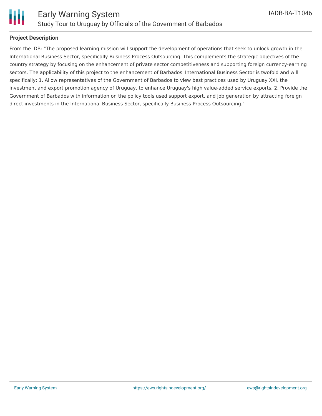

### **Project Description**

From the IDB: "The proposed learning mission will support the development of operations that seek to unlock growth in the International Business Sector, specifically Business Process Outsourcing. This complements the strategic objectives of the country strategy by focusing on the enhancement of private sector competitiveness and supporting foreign currency-earning sectors. The applicability of this project to the enhancement of Barbados' International Business Sector is twofold and will specifically: 1. Allow representatives of the Government of Barbados to view best practices used by Uruguay XXI, the investment and export promotion agency of Uruguay, to enhance Uruguay's high value-added service exports. 2. Provide the Government of Barbados with information on the policy tools used support export, and job generation by attracting foreign direct investments in the International Business Sector, specifically Business Process Outsourcing."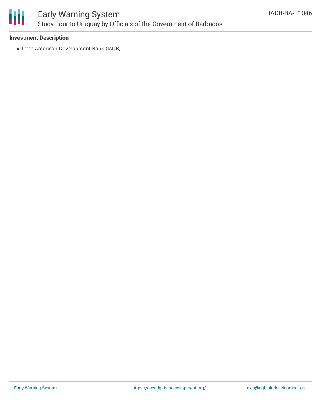

## Early Warning System Study Tour to Uruguay by Officials of the Government of Barbados

### **Investment Description**

• Inter-American Development Bank (IADB)